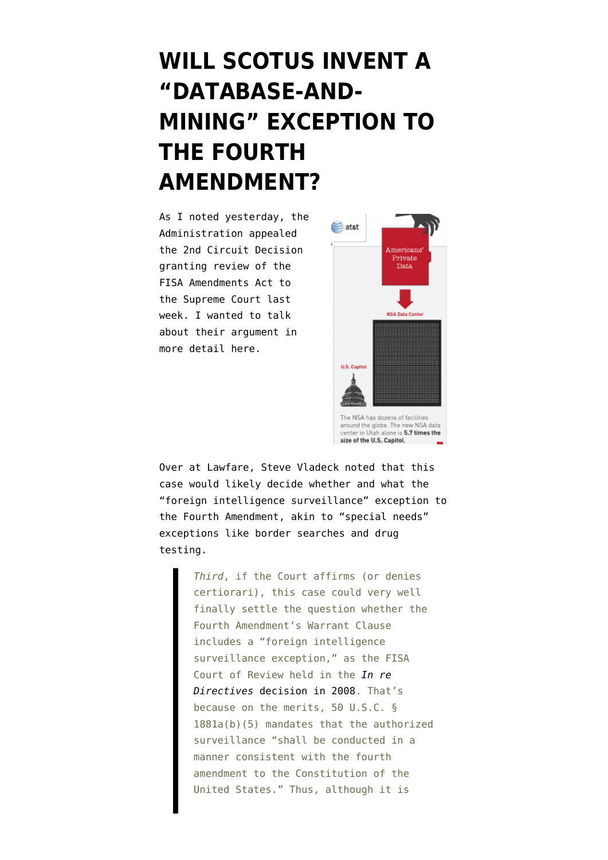## **[WILL SCOTUS INVENT A](https://www.emptywheel.net/2012/02/21/will-scotus-invent-a-database-and-mining-exception-to-the-fourth-amendment/) ["DATABASE-AND-](https://www.emptywheel.net/2012/02/21/will-scotus-invent-a-database-and-mining-exception-to-the-fourth-amendment/)[MINING" EXCEPTION TO](https://www.emptywheel.net/2012/02/21/will-scotus-invent-a-database-and-mining-exception-to-the-fourth-amendment/) [THE FOURTH](https://www.emptywheel.net/2012/02/21/will-scotus-invent-a-database-and-mining-exception-to-the-fourth-amendment/) [AMENDMENT?](https://www.emptywheel.net/2012/02/21/will-scotus-invent-a-database-and-mining-exception-to-the-fourth-amendment/)**

As I [noted yesterday](http://www.emptywheel.net/2012/02/20/the-government-doesnt-want-to-talk-about-collecting-domestic-communications-under-faa/), the Administration [appealed](http://www.lawfareblog.com/wp-content/uploads/2012/02/Clapper-v-Amnesty-Cert.pdf) the 2nd Circuit Decision granting review of the FISA Amendments Act to the Supreme Court last week. I wanted to talk about their argument in more detail here.



size of the U.S. Capitol.

Over at Lawfare, Steve Vladeck [noted](http://www.lawfareblog.com/2012/02/clapper-v-amnesty/) that this case would likely decide whether and what the "foreign intelligence surveillance" exception to the Fourth Amendment, akin to "special needs" exceptions like border searches and drug testing.

> *Third*, if the Court affirms (or denies certiorari), this case could very well finally settle the question whether the Fourth Amendment's Warrant Clause includes a "foreign intelligence surveillance exception," as the FISA Court of Review held in the *[In re](http://www.fas.org/irp/agency/doj/fisa/fiscr082208.pdf) [Directives](http://www.fas.org/irp/agency/doj/fisa/fiscr082208.pdf)* [decision in 2008](http://www.fas.org/irp/agency/doj/fisa/fiscr082208.pdf). That's because on the merits, 50 U.S.C. § 1881a(b)(5) mandates that the authorized surveillance "shall be conducted in a manner consistent with the fourth amendment to the Constitution of the United States." Thus, although it is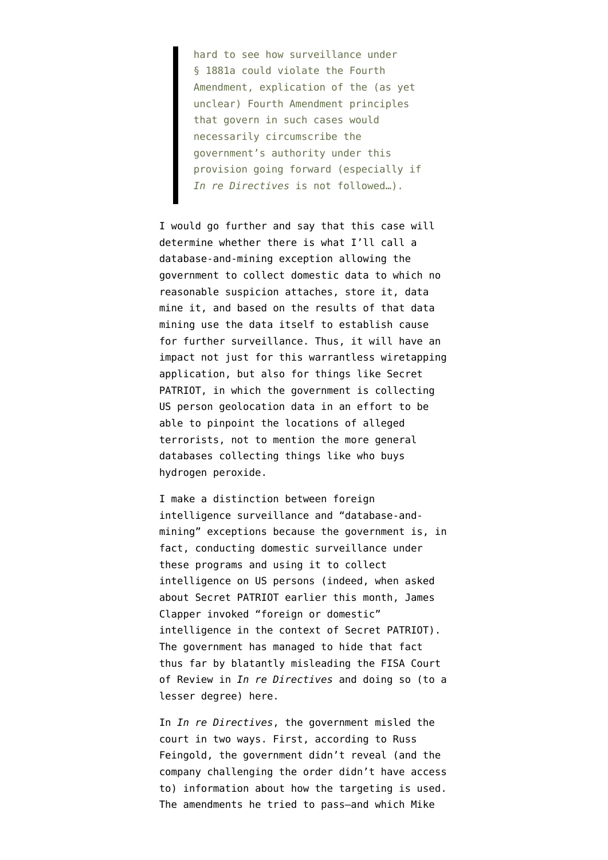hard to see how surveillance under § 1881a could violate the Fourth Amendment, explication of the (as yet unclear) Fourth Amendment principles that govern in such cases would necessarily circumscribe the government's authority under this provision going forward (especially if *In re Directives* is not followed…).

I would go further and say that this case will determine whether there is what I'll call a database-and-mining exception allowing the government to collect domestic data to which no reasonable suspicion attaches, store it, data mine it, and based on the results of that data mining use the data itself to establish cause for further surveillance. Thus, it will have an impact not just for this warrantless wiretapping application, but also for things like Secret PATRIOT, in which the government is collecting US person geolocation data in an effort to be able to pinpoint the locations of alleged terrorists, not to mention the more general databases collecting things like who buys hydrogen peroxide.

I make a distinction between foreign intelligence surveillance and "database-andmining" exceptions because the government is, in fact, conducting domestic surveillance under these programs and using it to collect intelligence on US persons (indeed, [when asked](http://www.emptywheel.net/2012/02/01/ron-wyden-suggests-secret-patriot-gps-tracking-may-be-illegal-under-jones/) [about Secret PATRIOT](http://www.emptywheel.net/2012/02/01/ron-wyden-suggests-secret-patriot-gps-tracking-may-be-illegal-under-jones/) earlier this month, James Clapper invoked "foreign or domestic" intelligence in the context of Secret PATRIOT). The government has managed to hide that fact thus far by blatantly misleading the FISA Court of Review in *In re Directives* and doing so (to a lesser degree) here.

In *In re Directives*, the government misled the court in two ways. First, [according to Russ](http://www.emptywheel.net/2009/01/18/fisa-eo-12333-redacted-procedures-no-fourth-amendment/) [Feingold,](http://www.emptywheel.net/2009/01/18/fisa-eo-12333-redacted-procedures-no-fourth-amendment/) the government didn't reveal (and the company challenging the order didn't have access to) information about how the targeting is used. The amendments he tried to pass–and which [Mike](http://www.emptywheel.net/2008/02/06/mcconnell-and-mukasey-tell-half-truths/)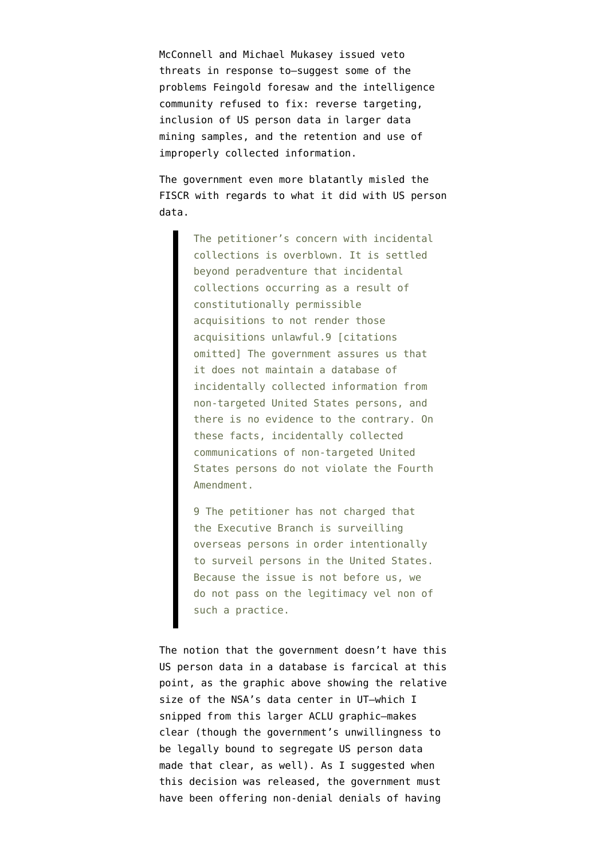[McConnell and Michael Mukasey issued veto](http://www.emptywheel.net/2008/02/06/mcconnell-and-mukasey-tell-half-truths/) [threats in response to](http://www.emptywheel.net/2008/02/06/mcconnell-and-mukasey-tell-half-truths/)–suggest some of the problems Feingold foresaw and the intelligence community refused to fix: reverse targeting, inclusion of US person data in larger data mining samples, and the retention and use of improperly collected information.

The government even more blatantly misled the FISCR with regards to what it did with US person data.

> The petitioner's concern with incidental collections is overblown. It is settled beyond peradventure that incidental collections occurring as a result of constitutionally permissible acquisitions to not render those acquisitions unlawful.9 [citations omitted] The government assures us that it does not maintain a database of incidentally collected information from non-targeted United States persons, and there is no evidence to the contrary. On these facts, incidentally collected communications of non-targeted United States persons do not violate the Fourth Amendment.

> 9 The petitioner has not charged that the Executive Branch is surveilling overseas persons in order intentionally to surveil persons in the United States. Because the issue is not before us, we do not pass on the legitimacy vel non of such a practice.

The notion that the government doesn't have this US person data in a database is farcical at this point, as the graphic above showing the relative size of the NSA's data center in UT–which I snipped from [this larger ACLU graphic](http://www.aclu.org/national-security/nsa-unchained-infographic)–makes clear (though the government's unwillingness to be legally bound to segregate US person data made that clear, as well). As I [suggested](http://www.emptywheel.net/2009/01/17/the-government-sez-we-dont-have-a-database-of-all-your-communication/) when this decision was released, the government must have been offering non-denial denials of having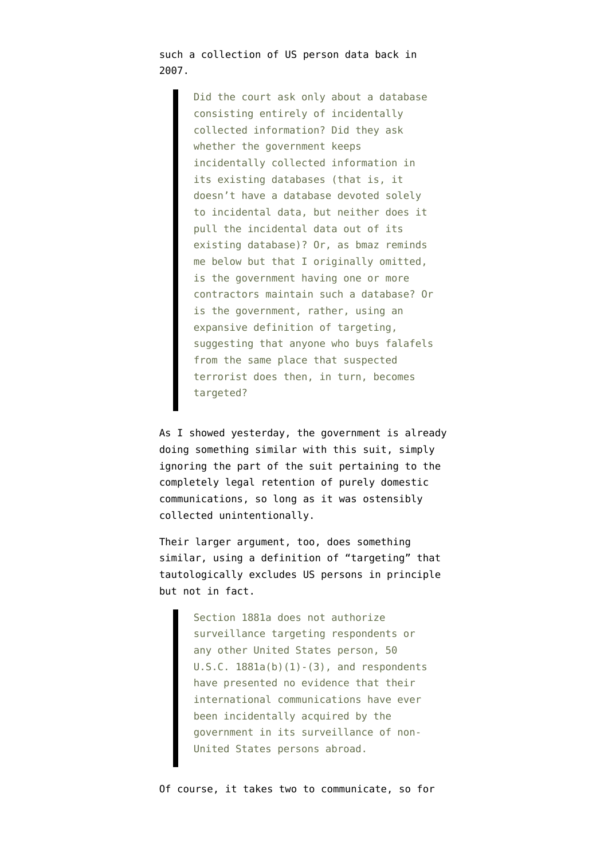such a collection of US person data back in 2007.

> Did the court ask only about a database consisting entirely of incidentally collected information? Did they ask whether the government keeps incidentally collected information in its existing databases (that is, it doesn't have a database devoted solely to incidental data, but neither does it pull the incidental data out of its existing database)? Or, as bmaz reminds me below but that I originally omitted, is the government having one or more contractors maintain such a database? Or is the government, rather, using an expansive definition of targeting, suggesting that anyone who buys falafels from the same place that suspected terrorist does then, in turn, becomes targeted?

As I showed yesterday, the government is already doing something similar with this suit, simply [ignoring the part of the suit](http://www.emptywheel.net/2012/02/20/the-government-doesnt-want-to-talk-about-collecting-domestic-communications-under-faa/) pertaining to the completely legal retention of purely domestic communications, so long as it was ostensibly collected unintentionally.

Their larger argument, too, does something similar, using a definition of "targeting" that tautologically excludes US persons in principle but not in fact.

> Section 1881a does not authorize surveillance targeting respondents or any other United States person, 50  $U.S.C. 1881a(b)(1)-(3)$ , and respondents have presented no evidence that their international communications have ever been incidentally acquired by the government in its surveillance of non-United States persons abroad.

Of course, it takes two to communicate, so for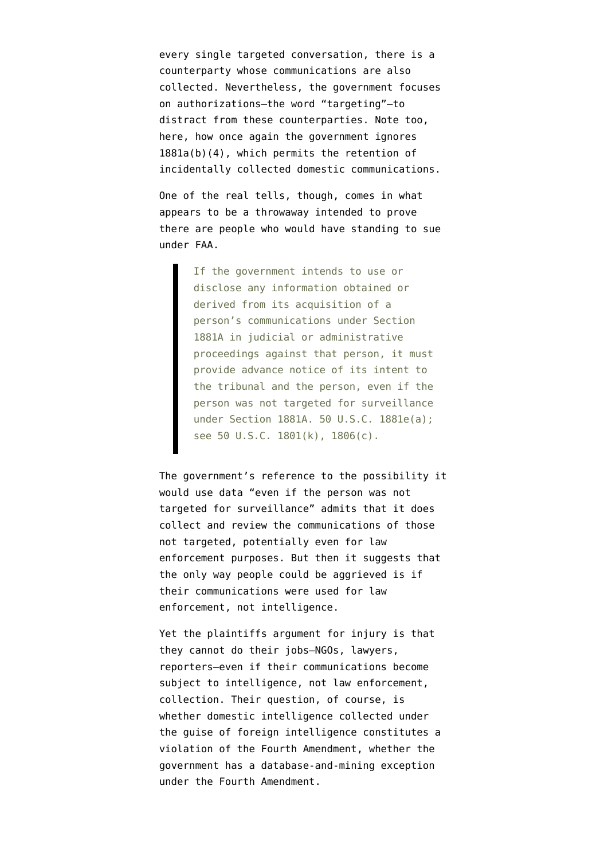every single targeted conversation, there is a counterparty whose communications are also collected. Nevertheless, the government focuses on authorizations–the word "targeting"–to distract from these counterparties. Note too, here, how once again the government ignores 1881a(b)(4), which permits the retention of incidentally collected domestic communications.

One of the real tells, though, comes in what appears to be a throwaway intended to prove there are people who would have standing to sue under FAA.

> If the government intends to use or disclose any information obtained or derived from its acquisition of a person's communications under Section 1881A in judicial or administrative proceedings against that person, it must provide advance notice of its intent to the tribunal and the person, even if the person was not targeted for surveillance under Section 1881A. 50 U.S.C. 1881e(a); see 50 U.S.C. 1801(k), 1806(c).

The government's reference to the possibility it would use data "even if the person was not targeted for surveillance" admits that it does collect and review the communications of those not targeted, potentially even for law enforcement purposes. But then it suggests that the only way people could be aggrieved is if their communications were used for law enforcement, not intelligence.

Yet the plaintiffs argument for injury is that they cannot do their jobs–NGOs, lawyers, reporters–even if their communications become subject to intelligence, not law enforcement, collection. Their question, of course, is whether domestic intelligence collected under the guise of foreign intelligence constitutes a violation of the Fourth Amendment, whether the government has a database-and-mining exception under the Fourth Amendment.